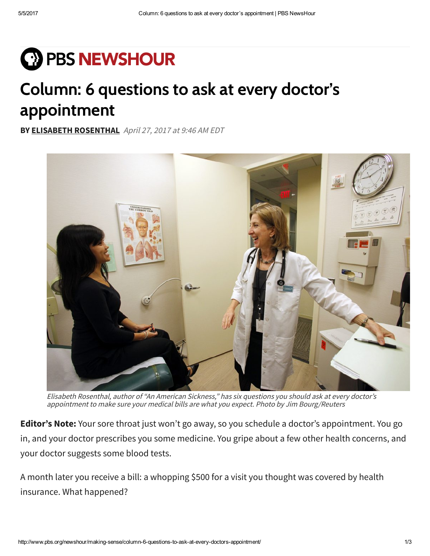# **BES NEWSHOUR**

# Column: 6 questions to ask at every doctor's appointment

BY ELISABETH [ROSENTHAL](http://www.pbs.org/newshour/author/elisabeth-rosenthal/) April 27, 2017 at 9:46 AM EDT



Elisabeth Rosenthal, author of "An American Sickness," has six questions you should ask at every doctor's appointment to make sure your medical bills are what you expect. Photo by Jim Bourg/Reuters

Editor's Note: Your sore throat just won't go away, so you schedule a doctor's appointment. You go in, and your doctor prescribes you some medicine. You gripe about a few other health concerns, and your doctor suggests some blood tests.

A month later you receive a bill: a whopping \$500 for a visit you thought was covered by health insurance. What happened?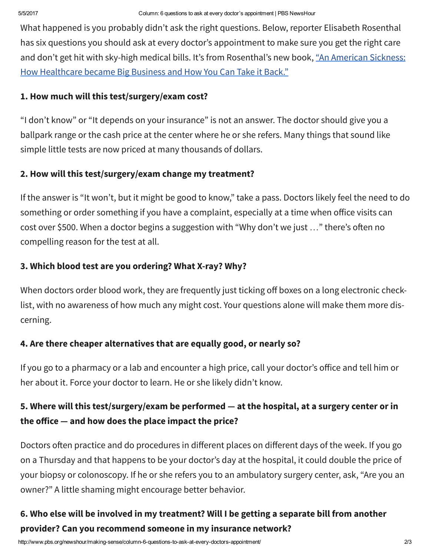What happened is you probably didn't ask the right questions. Below, reporter Elisabeth Rosenthal has six questions you should ask at every doctor's appointment to make sure you get the right care and don't get hit with sky-high medical bills. It's from [Rosenthal's](https://www.amazon.com/American-Sickness-Healthcare-Became-Business/dp/1594206759) new book, "An American Sickness: How Healthcare became Big Business and How You Can Take it Back."

#### 1. How much will this test/surgery/exam cost?

"I don't know" or "It depends on your insurance" is not an answer. The doctor should give you a ballpark range or the cash price at the center where he or she refers. Many things that sound like simple little tests are now priced at many thousands of dollars.

#### 2. How will this test/surgery/exam change my treatment?

If the answer is "It won't, but it might be good to know," take a pass. Doctors likely feel the need to do something or order something if you have a complaint, especially at a time when office visits can cost over \$500. When a doctor begins a suggestion with "Why don't we just ..." there's often no compelling reason for the test at all.

#### 3. Which blood test are you ordering? What X-ray? Why?

When doctors order blood work, they are frequently just ticking off boxes on a long electronic checklist, with no awareness of how much any might cost. Your questions alone will make them more discerning.

#### 4. Are there cheaper alternatives that are equally good, or nearly so?

If you go to a pharmacy or a lab and encounter a high price, call your doctor's office and tell him or her about it. Force your doctor to learn. He or she likely didn't know.

### 5. Where will this test/surgery/exam be performed — at the hospital, at a surgery center or in the office  $-$  and how does the place impact the price?

Doctors often practice and do procedures in different places on different days of the week. If you go on a Thursday and that happens to be your doctor's day at the hospital, it could double the price of your biopsy or colonoscopy. If he or she refers you to an ambulatory surgery center, ask, "Are you an owner?" A little shaming might encourage better behavior.

## 6. Who else will be involved in my treatment? Will I be getting a separate bill from another provider? Can you recommend someone in my insurance network?